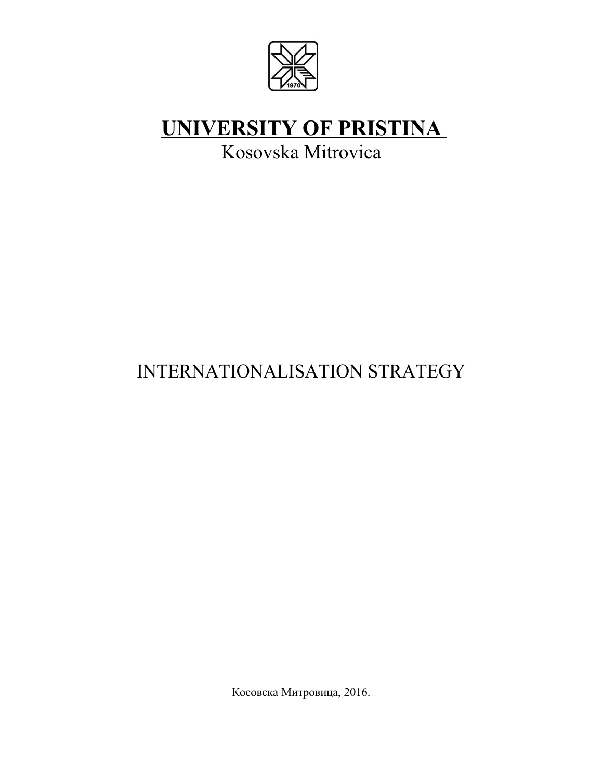

# **UNIVERSITY OF PRISTINA**

Kosovska Mitrovica

# INTERNATIONALISATION STRATEGY

Косовска Митровица, 2016.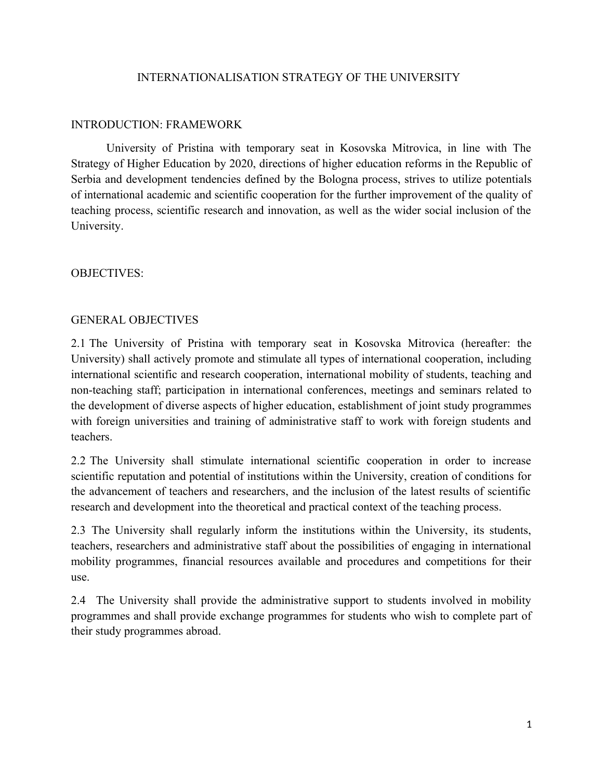#### INTERNATIONALISATION STRATEGY OF THE UNIVERSITY

### INTRODUCTION: FRAMEWORK

University of Pristina with temporary seat in Kosovska Mitrovica, in line with The Strategy of Higher Education by 2020, directions of higher education reforms in the Republic of Serbia and development tendencies defined by the Bologna process, strives to utilize potentials of international academic and scientific cooperation for the further improvement of the quality of teaching process, scientific research and innovation, as well as the wider social inclusion of the University.

OBJECTIVES:

#### GENERAL OBJECTIVES

2.1 The University of Pristina with temporary seat in Kosovska Mitrovica (hereafter: the University) shall actively promote and stimulate all types of international cooperation, including international scientific and research cooperation, international mobility of students, teaching and non-teaching staff; participation in international conferences, meetings and seminars related to the development of diverse aspects of higher education, establishment of joint study programmes with foreign universities and training of administrative staff to work with foreign students and teachers.

2.2 The University shall stimulate international scientific cooperation in order to increase scientific reputation and potential of institutions within the University, creation of conditions for the advancement of teachers and researchers, and the inclusion of the latest results of scientific research and development into the theoretical and practical context of the teaching process.

2.3 The University shall regularly inform the institutions within the University, its students, teachers, researchers and administrative staff about the possibilities of engaging in international mobility programmes, financial resources available and procedures and competitions for their use.

2.4 The University shall provide the administrative support to students involved in mobility programmes and shall provide exchange programmes for students who wish to complete part of their study programmes abroad.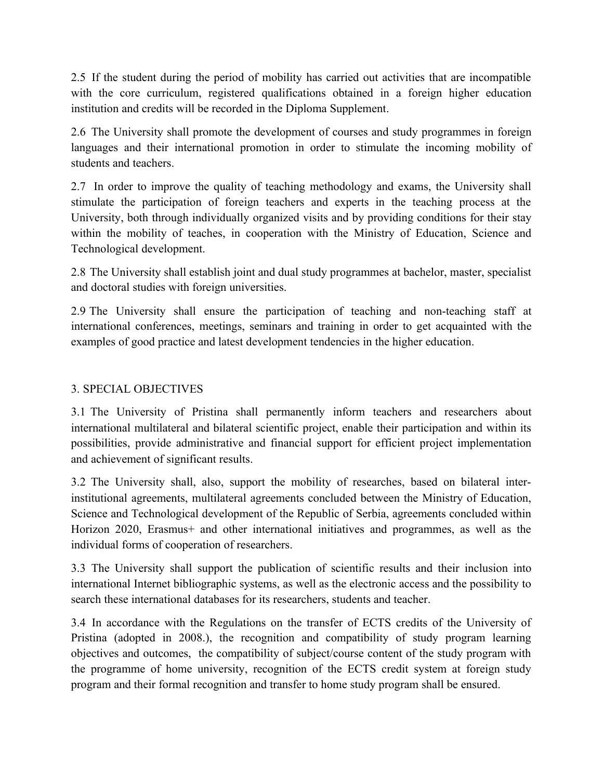2.5 If the student during the period of mobility has carried out activities that are incompatible with the core curriculum, registered qualifications obtained in a foreign higher education institution and credits will be recorded in the Diploma Supplement.

2.6 The University shall promote the development of courses and study programmes in foreign languages and their international promotion in order to stimulate the incoming mobility of students and teachers.

2.7 In order to improve the quality of teaching methodology and exams, the University shall stimulate the participation of foreign teachers and experts in the teaching process at the University, both through individually organized visits and by providing conditions for their stay within the mobility of teaches, in cooperation with the Ministry of Education, Science and Technological development.

2.8 The University shall establish joint and dual study programmes at bachelor, master, specialist and doctoral studies with foreign universities.

2.9 The University shall ensure the participation of teaching and non-teaching staff at international conferences, meetings, seminars and training in order to get acquainted with the examples of good practice and latest development tendencies in the higher education.

## 3. SPECIAL OBJECTIVES

3.1 The University of Pristina shall permanently inform teachers and researchers about international multilateral and bilateral scientific project, enable their participation and within its possibilities, provide administrative and financial support for efficient project implementation and achievement of significant results.

3.2 The University shall, also, support the mobility of researches, based on bilateral interinstitutional agreements, multilateral agreements concluded between the Ministry of Education, Science and Technological development of the Republic of Serbia, agreements concluded within Horizon 2020, Erasmus+ and other international initiatives and programmes, as well as the individual forms of cooperation of researchers.

3.3 The University shall support the publication of scientific results and their inclusion into international Internet bibliographic systems, as well as the electronic access and the possibility to search these international databases for its researchers, students and teacher.

3.4 In accordance with the Regulations on the transfer of ECTS credits of the University of Pristina (adopted in 2008.), the recognition and compatibility of study program learning objectives and outcomes, the compatibility of subject/course content of the study program with the programme of home university, recognition of the ECTS credit system at foreign study program and their formal recognition and transfer to home study program shall be ensured.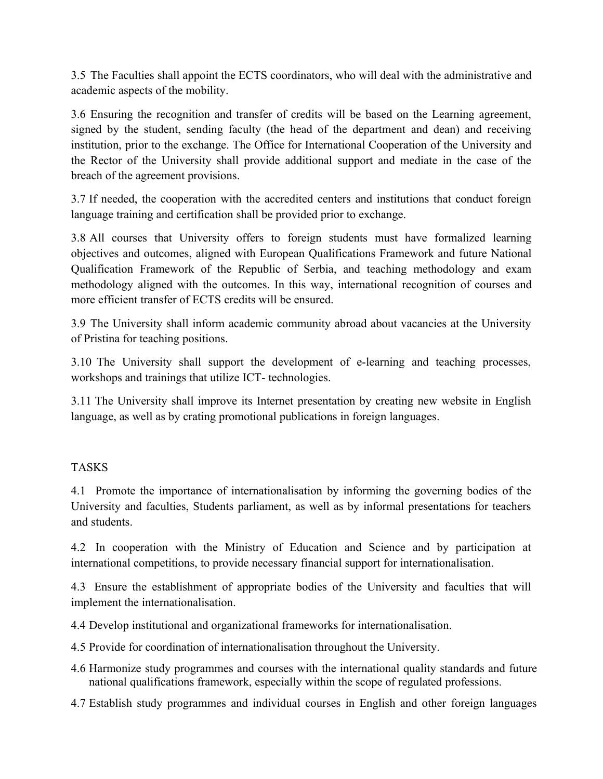3.5 The Faculties shall appoint the ECTS coordinators, who will deal with the administrative and academic aspects of the mobility.

3.6 Ensuring the recognition and transfer of credits will be based on the Learning agreement, signed by the student, sending faculty (the head of the department and dean) and receiving institution, prior to the exchange. The Office for International Cooperation of the University and the Rector of the University shall provide additional support and mediate in the case of the breach of the agreement provisions.

3.7 If needed, the cooperation with the accredited centers and institutions that conduct foreign language training and certification shall be provided prior to exchange.

3.8 All courses that University offers to foreign students must have formalized learning objectives and outcomes, aligned with European Qualifications Framework and future National Qualification Framework of the Republic of Serbia, and teaching methodology and exam methodology aligned with the outcomes. In this way, international recognition of courses and more efficient transfer of ECTS credits will be ensured.

3.9 The University shall inform academic community abroad about vacancies at the University of Pristina for teaching positions.

3.10 The University shall support the development of e-learning and teaching processes, workshops and trainings that utilize ICT- technologies.

3.11 The University shall improve its Internet presentation by creating new website in English language, as well as by crating promotional publications in foreign languages.

### TASKS

4.1 Promote the importance of internationalisation by informing the governing bodies of the University and faculties, Students parliament, as well as by informal presentations for teachers and students.

4.2 In cooperation with the Ministry of Education and Science and by participation at international competitions, to provide necessary financial support for internationalisation.

4.3 Ensure the establishment of appropriate bodies of the University and faculties that will implement the internationalisation.

4.4 Develop institutional and organizational frameworks for internationalisation.

- 4.5 Provide for coordination of internationalisation throughout the University.
- 4.6 Harmonize study programmes and courses with the international quality standards and future national qualifications framework, especially within the scope of regulated professions.
- 4.7 Establish study programmes and individual courses in English and other foreign languages